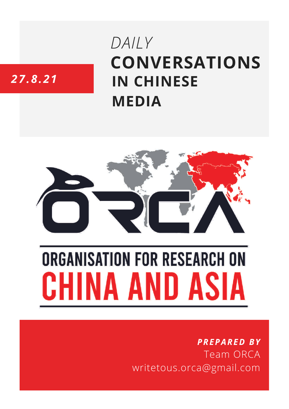# **CONVERSATIONS IN CHINESE MEDIA** *DAILY*

# *27.8.21*



# **ORGANISATION FOR RESEARCH ON** HINA AND ASIA

## *PREPARED BY* Team ORCA writetous.orca@gmail.com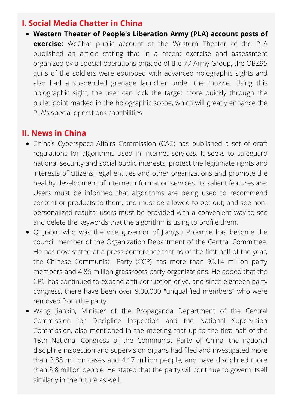#### **I. Social Media Chatter in China**

**Western Theater of People's Liberation Army (PLA) account posts of exercise:** WeChat public account of the Western Theater of the PLA published an article stating that in a recent exercise and assessment organized by a special operations brigade of the 77 Army Group, the QBZ95 guns of the soldiers were equipped with advanced holographic sights and also had a suspended grenade launcher under the muzzle. Using this holographic sight, the user can lock the target more quickly through the bullet point marked in the holographic scope, which will greatly enhance the PLA's special operations capabilities.

#### **II. News in China**

- China's Cyberspace Affairs Commission (CAC) has published a set of draft regulations for algorithms used in Internet services. It seeks to safeguard national security and social public interests, protect the legitimate rights and interests of citizens, legal entities and other organizations and promote the healthy development of Internet information services. Its salient features are: Users must be informed that algorithms are being used to recommend content or products to them, and must be allowed to opt out, and see nonpersonalized results; users must be provided with a convenient way to see and delete the keywords that the algorithm is using to profile them.
- Qi Jiabin who was the vice governor of Jiangsu Province has become the council member of the Organization Department of the Central Committee. He has now stated at a press conference that as of the first half of the year, the Chinese Communist Party (CCP) has more than 95.14 million party members and 4.86 million grassroots party organizations. He added that the CPC has continued to expand anti-corruption drive, and since eighteen party congress, there have been over 9,00,000 "unqualified members" who were removed from the party.
- Wang Jianxin, Minister of the Propaganda Department of the Central Commission for Discipline Inspection and the National Supervision Commission, also mentioned in the meeting that up to the first half of the 18th National Congress of the Communist Party of China, the national discipline inspection and supervision organs had filed and investigated more than 3.88 million cases and 4.17 million people, and have disciplined more than 3.8 million people. He stated that the party will continue to govern itself similarly in the future as well.